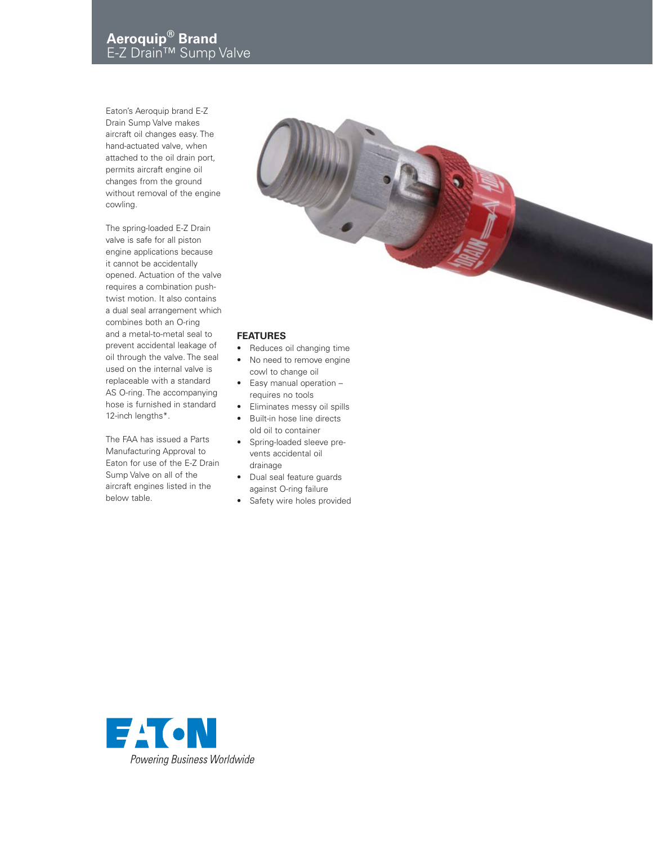Eaton's Aeroquip brand E-Z Drain Sump Valve makes aircraft oil changes easy. The hand-actuated valve, when attached to the oil drain port, permits aircraft engine oil changes from the ground without removal of the engine cowling.

The spring-loaded E-Z Drain valve is safe for all piston engine applications because it cannot be accidentally opened. Actuation of the valve requires a combination pushtwist motion. It also contains a dual seal arrangement which combines both an O-ring and a metal-to-metal seal to prevent accidental leakage of oil through the valve. The seal used on the internal valve is replaceable with a standard AS O-ring. The accompanying hose is furnished in standard 12-inch lengths\*.

The FAA has issued a Parts Manufacturing Approval to Eaton for use of the E-Z Drain Sump Valve on all of the aircraft engines listed in the below table.



## **FEATURES**

- Reduces oil changing time
- No need to remove engine cowl to change oil
- Easy manual operation requires no tools
- Eliminates messy oil spills
- Built-in hose line directs old oil to container
- Spring-loaded sleeve pre vents accidental oil drainage
- Dual seal feature guards against O-ring failure
- Safety wire holes provided